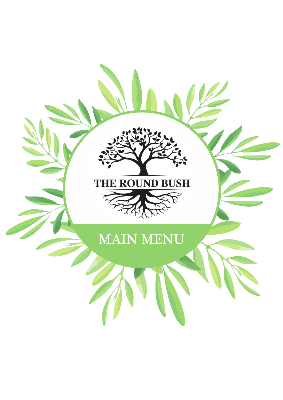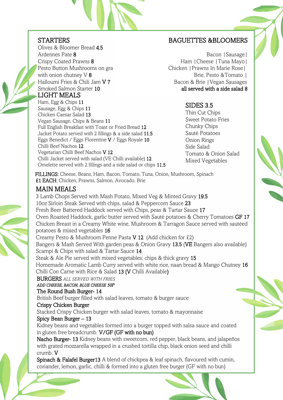#### **STARTERS**

Ham, Egg & Chips 11 Sausage, Egg & Chips 11 Chicken Caesar Salad 13

Chilli Beef Nachos 12

LIGHT MEALS Olives & Bloomer Bread 4.5 Ardennes Pate 8 Crispy Coated Prawns 8 Pesto Button Mushrooms on gran with onion chutney V 8 Halloumi Fries & Chili Jam V 7 Smoked Salmon Starter 10

Vegan Sausage, Chips & Beans 11

Vegetarian Chilli Beef Nachos V 12

Full English Breakfast with Toast or Fried Bread 12 Jacket Potato served with 2 fillings & a side salad 11.5 Eggs Benedict / Eggs Florentine V / Eggs Royale 10

Chilli Jacket served with salad (VE Chilli available) 12

Omelette served with 2 fillings and a side salad or chips 11.5

BAGUETTES &BLOOMERS

Bacon |Sausage| Ham |Cheese |Tuna Mayo| Chicken |Prawns In Marie Rose| Brie, Pesto &Tomato | Bacon & Brie |Vegan Sausages all served with a side salad 8

## SIDES 3.5

Thin Cut Chips Sweet Potato Fries Chunky Chips Sauté Potatoes Onion Rings Side Salad Tomato & Onion Salad Mixed Vegetables

FILLINGS: Cheese, Beans, Ham, Bacon, Tomato, Tuna, Onion, Mushroom, Spinach £1 EACH: Chicken, Prawns, Salmon, Avocado, Brie

#### MAIN MEALS

3 Lamb Chops Served with Mash Potato, Mixed Veg & Minted Gravy 19.5 10oz Sirloin Steak Served with chips, salad & Peppercorn Sauce 23 Fresh Beer Battered Haddock served with Chips, peas & Tartar Sauce 17 Oven Roasted Haddock, garlic butter served with Sauté potatoes & Cherry Tomatoes GF 17 Chicken Breast in a Creamy White wine, Mushroom & Tarragon Sauce served with sautéed potatoes & mixed vegetables 16 Creamy Pesto & Mushroom Penne Pasta V 12 (Add chicken for £2) Bangers & Mash Served With garden peas & Onion Gravy 13.5 (VE Bangers also available) Scampi & Chips with salad & Tartar Sauce 14 Steak & Ale Pie served with mixed vegetables; chips & thick gravy 15 Homemade Aromatic Lamb Curry served with white rice, naan bread & Mango Chutney 16 Chilli Con Carne with Rice & Salad 13 (V Chilli Available) BURGERS *ALL SERVED WITH FRIES ADD CHEESE, BACON, BLUE CHEESE 50P*  The Round Bush Burger- 14 British Beef burger filled with salad leaves, tomato & burger sauce Crispy Chicken Burger Stacked Crispy Chicken burger with salad leaves, tomato & mayonnaise Spicy Bean Burger – 13 Kidney beans and vegetables formed into a burger topped with salsa sauce and coated in gluten free breadcrumb. V/GF (GF with no bun) Nacho Burger- 13 Kidney beans with sweetcorn, red pepper, black beans, and jalapeños with grated mozzarella wrapped in a crushed tortilla chip, black onion seed and chilli crumb. V Spinach & Falafel Burger13 A blend of chickpea & leaf spinach, flavoured with cumin, coriander, lemon, garlic, chilli & formed into a gluten free burger (GF with no bun)



ī